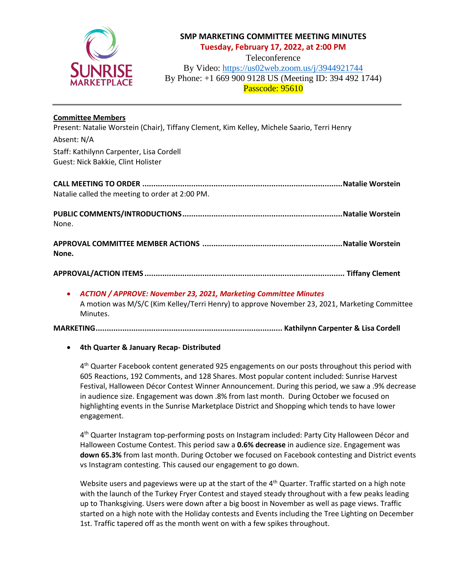

# **SMP MARKETING COMMITTEE MEETING MINUTES Tuesday, February 17, 2022, at 2:00 PM**

Teleconference

By Video: <https://us02web.zoom.us/j/3944921744> By Phone: +1 669 900 9128 US (Meeting ID: 394 492 1744) Passcode: 95610

## **Committee Members**

Present: Natalie Worstein (Chair), Tiffany Clement, Kim Kelley, Michele Saario, Terri Henry

Absent: N/A Staff: Kathilynn Carpenter, Lisa Cordell Guest: Nick Bakkie, Clint Holister

**CALL MEETING TO ORDER ..........................................................................................Natalie Worstein** Natalie called the meeting to order at 2:00 PM.

**PUBLIC COMMENTS/INTRODUCTIONS........................................................................Natalie Worstein** None.

**APPROVAL COMMITTEE MEMBER ACTIONS ...............................................................Natalie Worstein None.**

# **APPROVAL/ACTION ITEMS .......................................................................................... Tiffany Clement**

#### • *ACTION / APPROVE: November 23, 2021, Marketing Committee Minutes*

A motion was M/S/C (Kim Kelley/Terri Henry) to approve November 23, 2021, Marketing Committee Minutes.

#### **MARKETING.................................................................................... Kathilynn Carpenter & Lisa Cordell**

# • **4th Quarter & January Recap- Distributed**

4<sup>th</sup> Quarter Facebook content generated 925 engagements on our posts throughout this period with 605 Reactions, 192 Comments, and 128 Shares. Most popular content included: Sunrise Harvest Festival, Halloween Décor Contest Winner Announcement. During this period, we saw a .9% decrease in audience size. Engagement was down .8% from last month. During October we focused on highlighting events in the Sunrise Marketplace District and Shopping which tends to have lower engagement.

4<sup>th</sup> Quarter Instagram top-performing posts on Instagram included: Party City Halloween Décor and Halloween Costume Contest. This period saw a **0.6% decrease** in audience size. Engagement was **down 65.3%** from last month. During October we focused on Facebook contesting and District events vs Instagram contesting. This caused our engagement to go down.

Website users and pageviews were up at the start of the  $4<sup>th</sup>$  Quarter. Traffic started on a high note with the launch of the Turkey Fryer Contest and stayed steady throughout with a few peaks leading up to Thanksgiving. Users were down after a big boost in November as well as page views. Traffic started on a high note with the Holiday contests and Events including the Tree Lighting on December 1st. Traffic tapered off as the month went on with a few spikes throughout.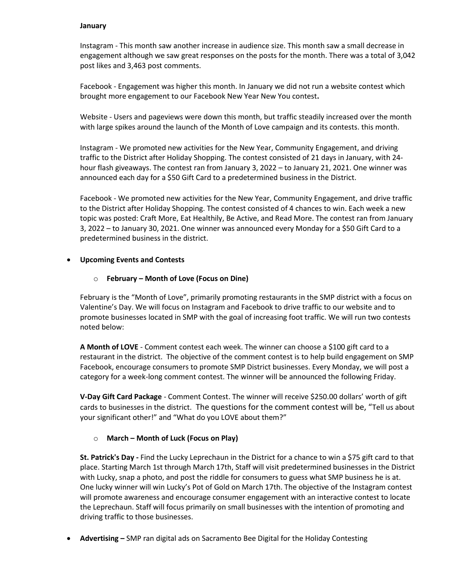#### **January**

Instagram - This month saw another increase in audience size. This month saw a small decrease in engagement although we saw great responses on the posts for the month. There was a total of 3,042 post likes and 3,463 post comments.

Facebook - Engagement was higher this month. In January we did not run a website contest which brought more engagement to our Facebook New Year New You contest**.** 

Website - Users and pageviews were down this month, but traffic steadily increased over the month with large spikes around the launch of the Month of Love campaign and its contests. this month.

Instagram - We promoted new activities for the New Year, Community Engagement, and driving traffic to the District after Holiday Shopping. The contest consisted of 21 days in January, with 24 hour flash giveaways. The contest ran from January 3, 2022 – to January 21, 2021. One winner was announced each day for a \$50 Gift Card to a predetermined business in the District.

Facebook - We promoted new activities for the New Year, Community Engagement, and drive traffic to the District after Holiday Shopping. The contest consisted of 4 chances to win. Each week a new topic was posted: Craft More, Eat Healthily, Be Active, and Read More. The contest ran from January 3, 2022 – to January 30, 2021. One winner was announced every Monday for a \$50 Gift Card to a predetermined business in the district.

## • **Upcoming Events and Contests**

## o **February – Month of Love (Focus on Dine)**

February is the "Month of Love", primarily promoting restaurants in the SMP district with a focus on Valentine's Day. We will focus on Instagram and Facebook to drive traffic to our website and to promote businesses located in SMP with the goal of increasing foot traffic. We will run two contests noted below:

**A Month of LOVE** - Comment contest each week. The winner can choose a \$100 gift card to a restaurant in the district. The objective of the comment contest is to help build engagement on SMP Facebook, encourage consumers to promote SMP District businesses. Every Monday, we will post a category for a week-long comment contest. The winner will be announced the following Friday.

**V-Day Gift Card Package** - Comment Contest. The winner will receive \$250.00 dollars' worth of gift cards to businesses in the district. The questions for the comment contest will be, "Tell us about your significant other!" and "What do you LOVE about them?"

# o **March – Month of Luck (Focus on Play)**

**St. Patrick's Day -** Find the Lucky Leprechaun in the District for a chance to win a \$75 gift card to that place. Starting March 1st through March 17th, Staff will visit predetermined businesses in the District with Lucky, snap a photo, and post the riddle for consumers to guess what SMP business he is at. One lucky winner will win Lucky's Pot of Gold on March 17th. The objective of the Instagram contest will promote awareness and encourage consumer engagement with an interactive contest to locate the Leprechaun. Staff will focus primarily on small businesses with the intention of promoting and driving traffic to those businesses.

• **Advertising –** SMP ran digital ads on Sacramento Bee Digital for the Holiday Contesting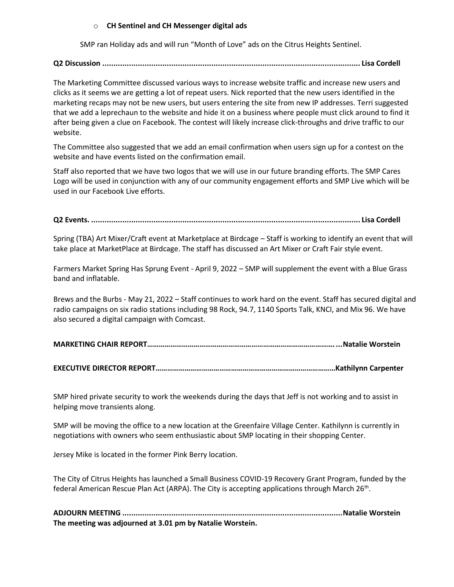#### o **CH Sentinel and CH Messenger digital ads**

SMP ran Holiday ads and will run "Month of Love" ads on the Citrus Heights Sentinel.

## **Q2 Discussion .................................................................................................................... Lisa Cordell**

The Marketing Committee discussed various ways to increase website traffic and increase new users and clicks as it seems we are getting a lot of repeat users. Nick reported that the new users identified in the marketing recaps may not be new users, but users entering the site from new IP addresses. Terri suggested that we add a leprechaun to the website and hide it on a business where people must click around to find it after being given a clue on Facebook. The contest will likely increase click-throughs and drive traffic to our website.

The Committee also suggested that we add an email confirmation when users sign up for a contest on the website and have events listed on the confirmation email.

Staff also reported that we have two logos that we will use in our future branding efforts. The SMP Cares Logo will be used in conjunction with any of our community engagement efforts and SMP Live which will be used in our Facebook Live efforts.

## **Q2 Events. ......................................................................................................................... Lisa Cordell**

Spring (TBA) Art Mixer/Craft event at Marketplace at Birdcage – Staff is working to identify an event that will take place at MarketPlace at Birdcage. The staff has discussed an Art Mixer or Craft Fair style event.

Farmers Market Spring Has Sprung Event - April 9, 2022 – SMP will supplement the event with a Blue Grass band and inflatable.

Brews and the Burbs - May 21, 2022 – Staff continues to work hard on the event. Staff has secured digital and radio campaigns on six radio stations including 98 Rock, 94.7, 1140 Sports Talk, KNCI, and Mix 96. We have also secured a digital campaign with Comcast.

|--|--|

|--|--|

SMP hired private security to work the weekends during the days that Jeff is not working and to assist in helping move transients along.

SMP will be moving the office to a new location at the Greenfaire Village Center. Kathilynn is currently in negotiations with owners who seem enthusiastic about SMP locating in their shopping Center.

Jersey Mike is located in the former Pink Berry location.

The City of Citrus Heights has launched a Small Business COVID-19 Recovery Grant Program, funded by the federal American Rescue Plan Act (ARPA). The City is accepting applications through March 26<sup>th</sup>.

**ADJOURN MEETING ...................................................................................................Natalie Worstein The meeting was adjourned at 3.01 pm by Natalie Worstein.**